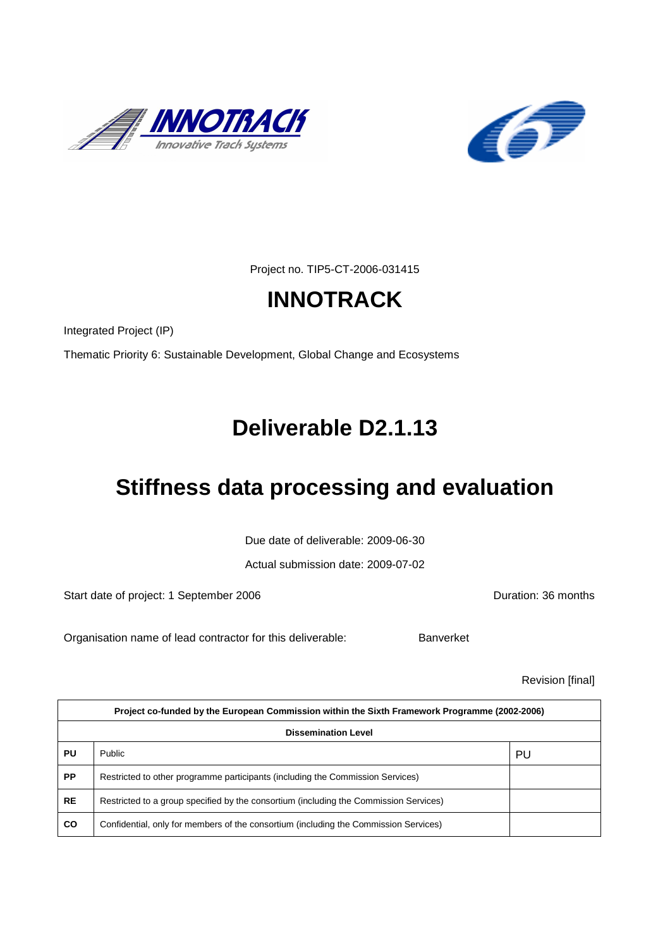



Project no. TIP5-CT-2006-031415

# **INNOTRACK**

Integrated Project (IP)

Thematic Priority 6: Sustainable Development, Global Change and Ecosystems

# **Deliverable D2.1.13**

# **Stiffness data processing and evaluation**

Due date of deliverable: 2009-06-30

Actual submission date: 2009-07-02

Start date of project: 1 September 2006 **Duration: 36 months** 

Organisation name of lead contractor for this deliverable: Banverket

Revision [final]

| Project co-funded by the European Commission within the Sixth Framework Programme (2002-2006) |                                                                                       |    |  |
|-----------------------------------------------------------------------------------------------|---------------------------------------------------------------------------------------|----|--|
| <b>Dissemination Level</b>                                                                    |                                                                                       |    |  |
| PU                                                                                            | Public                                                                                | PU |  |
| <b>PP</b>                                                                                     | Restricted to other programme participants (including the Commission Services)        |    |  |
| <b>RE</b>                                                                                     | Restricted to a group specified by the consortium (including the Commission Services) |    |  |
| <b>CO</b>                                                                                     | Confidential, only for members of the consortium (including the Commission Services)  |    |  |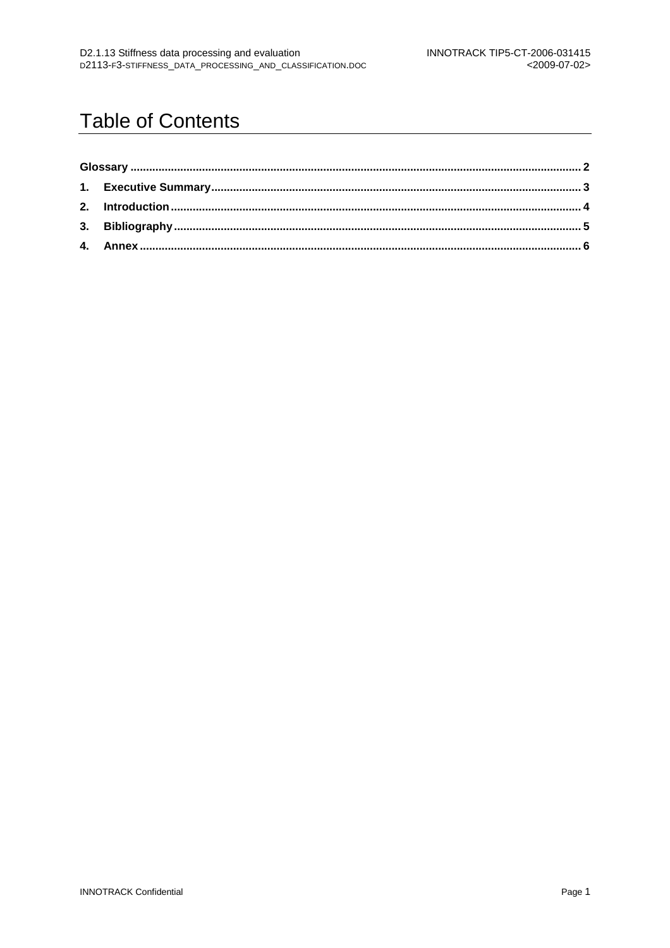## **Table of Contents**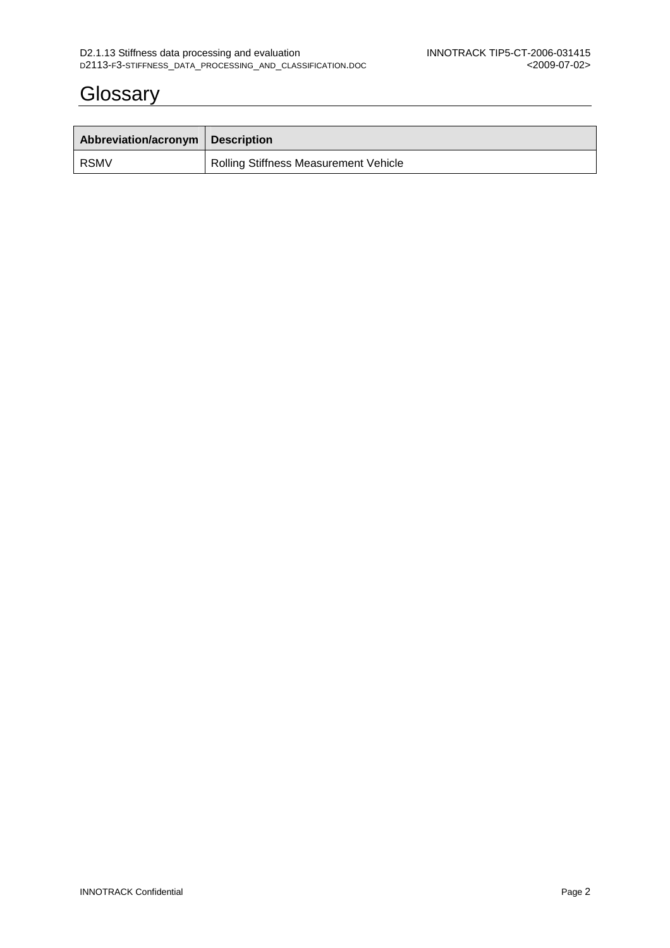### **Glossary**

| Abbreviation/acronym   Description |                                       |
|------------------------------------|---------------------------------------|
| I RSMV                             | Rolling Stiffness Measurement Vehicle |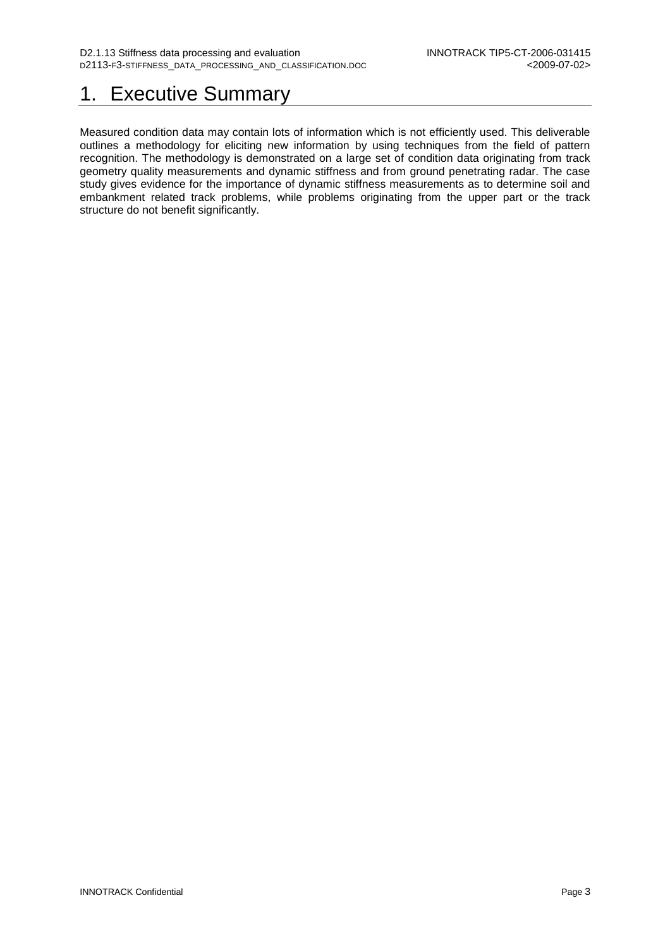#### 1. Executive Summary

Measured condition data may contain lots of information which is not efficiently used. This deliverable outlines a methodology for eliciting new information by using techniques from the field of pattern recognition. The methodology is demonstrated on a large set of condition data originating from track geometry quality measurements and dynamic stiffness and from ground penetrating radar. The case study gives evidence for the importance of dynamic stiffness measurements as to determine soil and embankment related track problems, while problems originating from the upper part or the track structure do not benefit significantly.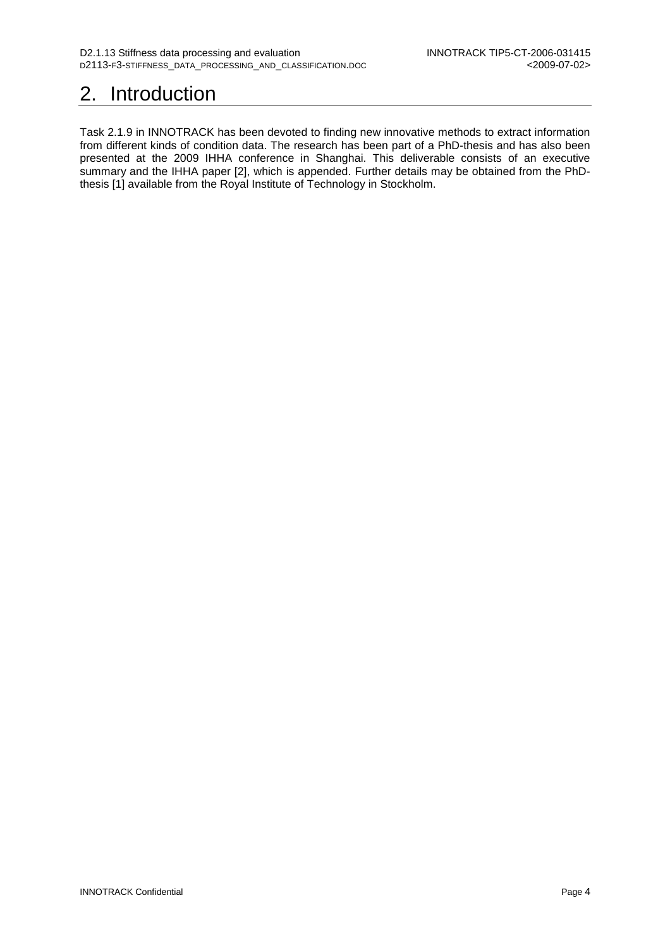### 2. Introduction

Task 2.1.9 in INNOTRACK has been devoted to finding new innovative methods to extract information from different kinds of condition data. The research has been part of a PhD-thesis and has also been presented at the 2009 IHHA conference in Shanghai. This deliverable consists of an executive summary and the IHHA paper [2], which is appended. Further details may be obtained from the PhDthesis [1] available from the Royal Institute of Technology in Stockholm.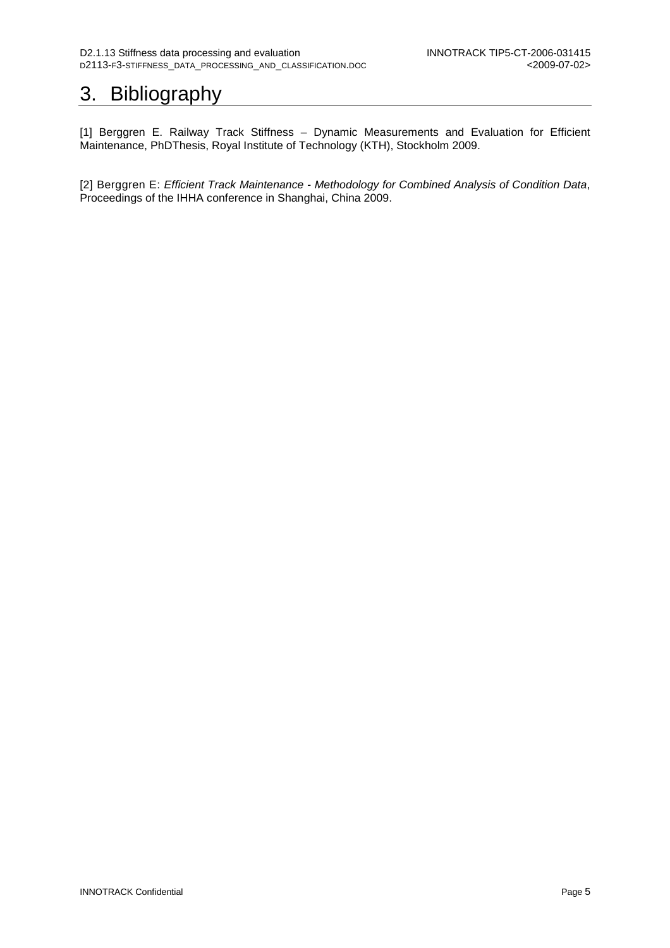### 3. Bibliography

[1] Berggren E. Railway Track Stiffness – Dynamic Measurements and Evaluation for Efficient Maintenance, PhDThesis, Royal Institute of Technology (KTH), Stockholm 2009.

[2] Berggren E: Efficient Track Maintenance - Methodology for Combined Analysis of Condition Data, Proceedings of the IHHA conference in Shanghai, China 2009.